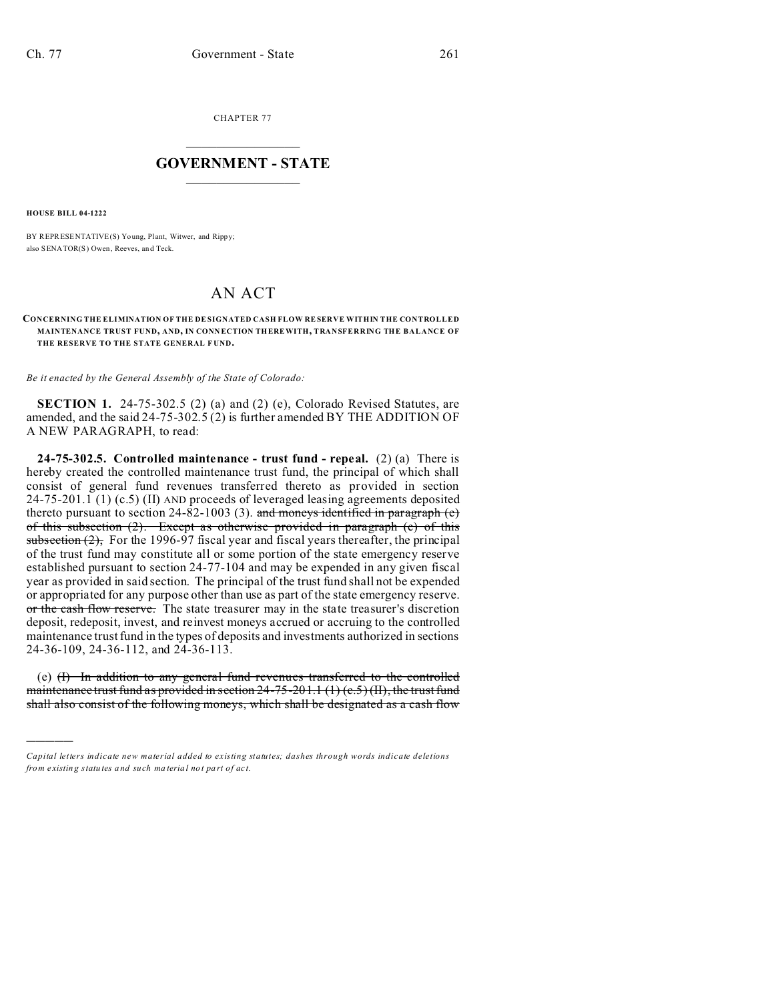CHAPTER 77  $\overline{\phantom{a}}$  , where  $\overline{\phantom{a}}$ 

## **GOVERNMENT - STATE**  $\_$   $\_$   $\_$   $\_$   $\_$   $\_$   $\_$   $\_$   $\_$

**HOUSE BILL 04-1222**

)))))

BY REPRESENTATIVE(S) Young, Plant, Witwer, and Rippy; also SENATOR(S) Owen, Reeves, an d Teck.

## AN ACT

**CONCERNING THE ELIMINATION OF THE DE SIGNATED CASH FLOW RESERVE WITHIN THE CONTROLLED MAINTENANCE TRUST FUND, AND, IN CONN ECTION THEREWITH, TRANSFERRING THE BALANCE OF THE RESERVE TO THE STATE GENERAL F UND.**

*Be it enacted by the General Assembly of the State of Colorado:*

**SECTION 1.** 24-75-302.5 (2) (a) and (2) (e), Colorado Revised Statutes, are amended, and the said 24-75-302.5 (2) is further amended BY THE ADDITION OF A NEW PARAGRAPH, to read:

**24-75-302.5. Controlled maintenance - trust fund - repeal.** (2) (a) There is hereby created the controlled maintenance trust fund, the principal of which shall consist of general fund revenues transferred thereto as provided in section 24-75-201.1 (1) (c.5) (II) AND proceeds of leveraged leasing agreements deposited thereto pursuant to section 24-82-1003 (3). and moneys identified in paragraph  $(e)$ of this subsection (2). Except as otherwise provided in paragraph (e) of this subsection  $(2)$ , For the 1996-97 fiscal year and fiscal years thereafter, the principal of the trust fund may constitute all or some portion of the state emergency reserve established pursuant to section 24-77-104 and may be expended in any given fiscal year as provided in said section. The principal of the trust fund shall not be expended or appropriated for any purpose other than use as part of the state emergency reserve. or the cash flow reserve. The state treasurer may in the state treasurer's discretion deposit, redeposit, invest, and reinvest moneys accrued or accruing to the controlled maintenance trust fund in the types of deposits and investments authorized in sections 24-36-109, 24-36-112, and 24-36-113.

(e)  $(H)$  In addition to any general fund revenues transferred to the controlled maintenance trust fund as provided in section  $24-75-201.1$  (1) (c.5) (II), the trust fund shall also consist of the following moneys, which shall be designated as a cash flow

*Capital letters indicate new material added to existing statutes; dashes through words indicate deletions from e xistin g statu tes a nd such ma teria l no t pa rt of ac t.*